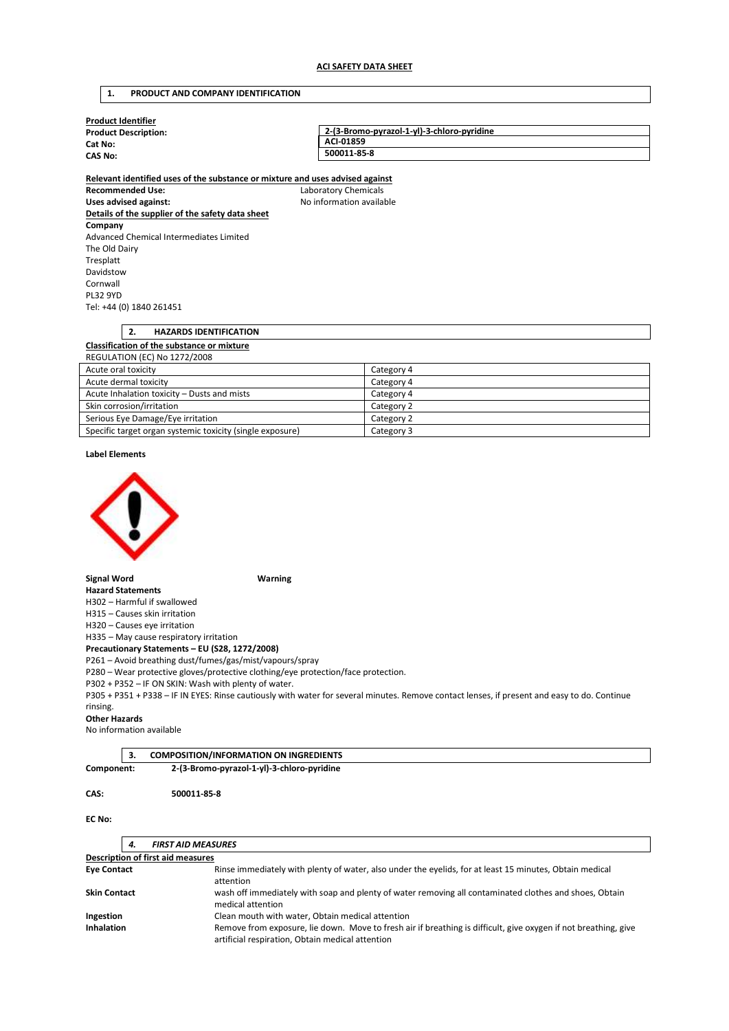### **1. PRODUCT AND COMPANY IDENTIFICATION**

| <b>Product Identifier</b>   |                                            |  |
|-----------------------------|--------------------------------------------|--|
| <b>Product Description:</b> | 2-(3-Bromo-pyrazol-1-yl)-3-chloro-pyridine |  |
| Cat No:                     | ACI-01859                                  |  |
| <b>CAS No:</b>              | 500011-85-8                                |  |
|                             |                                            |  |

**Relevant identified uses of the substance or mixture and uses advised against Recommended Use:** Laboratory Chemicals Uses advised against: **No information available Details of the supplier of the safety data sheet Company**  Advanced Chemical Intermediates Limited The Old Dairy Tresplatt Davidstow Cornwall PL32 9YD Tel: +44 (0) 1840 261451

# **2. HAZARDS IDENTIFICATION Classification of the substance or mixture**  REGULATION (EC) No 1272/2008 Acute oral toxicity Category 4

| Acute dermal toxicity                                     | Category 4 |
|-----------------------------------------------------------|------------|
| Acute Inhalation toxicity – Dusts and mists               | Category 4 |
| Skin corrosion/irritation                                 | Category 2 |
| Serious Eye Damage/Eye irritation                         | Category 2 |
| Specific target organ systemic toxicity (single exposure) | Category 3 |

#### **Label Elements**



#### **Signal Word Warning**

**Hazard Statements**  H302 – Harmful if swallowed

H315 – Causes skin irritation

H320 – Causes eye irritation

H335 – May cause respiratory irritation

**Precautionary Statements – EU (S28, 1272/2008)** 

P261 – Avoid breathing dust/fumes/gas/mist/vapours/spray

P280 – Wear protective gloves/protective clothing/eye protection/face protection.

P302 + P352 – IF ON SKIN: Wash with plenty of water.

P305 + P351 + P338 – IF IN EYES: Rinse cautiously with water for several minutes. Remove contact lenses, if present and easy to do. Continue rinsing.

#### **Other Hazards**

No information available

|            | <b>COMPOSITION/INFORMATION ON INGREDIENTS</b> |  |
|------------|-----------------------------------------------|--|
| Component: | 2-(3-Bromo-pyrazol-1-yl)-3-chloro-pyridine    |  |

### **CAS: 500011-85-8**

### **EC No:**

| 4.                                       | <b>FIRST AID MEASURES</b>                                                                                                                                           |
|------------------------------------------|---------------------------------------------------------------------------------------------------------------------------------------------------------------------|
| <b>Description of first aid measures</b> |                                                                                                                                                                     |
| <b>Eye Contact</b>                       | Rinse immediately with plenty of water, also under the eyelids, for at least 15 minutes, Obtain medical<br>attention                                                |
| <b>Skin Contact</b>                      | wash off immediately with soap and plenty of water removing all contaminated clothes and shoes, Obtain<br>medical attention                                         |
| Ingestion                                | Clean mouth with water, Obtain medical attention                                                                                                                    |
| <b>Inhalation</b>                        | Remove from exposure, lie down. Move to fresh air if breathing is difficult, give oxygen if not breathing, give<br>artificial respiration, Obtain medical attention |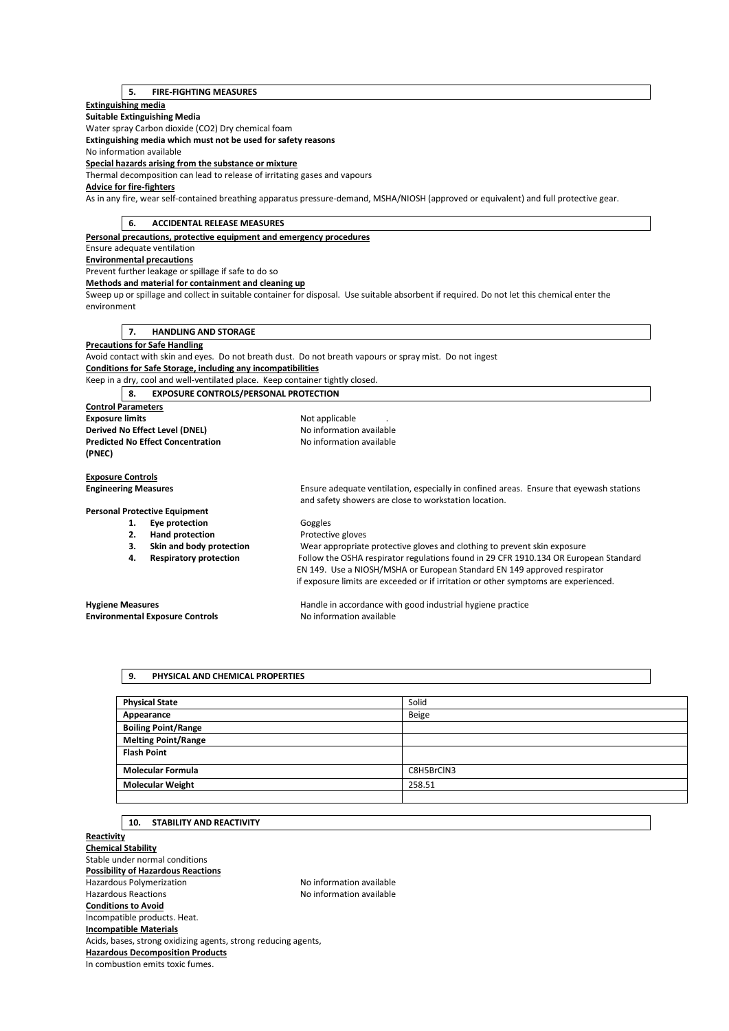# **5. FIRE-FIGHTING MEASURES**

## **Extinguishing media**

**Suitable Extinguishing Media** 

Water spray Carbon dioxide (CO2) Dry chemical foam

**Extinguishing media which must not be used for safety reasons** 

No information available

**Special hazards arising from the substance or mixture** 

Thermal decomposition can lead to release of irritating gases and vapours

# **Advice for fire-fighters**

As in any fire, wear self-contained breathing apparatus pressure-demand, MSHA/NIOSH (approved or equivalent) and full protective gear.

|                                        | 6.<br><b>ACCIDENTAL RELEASE MEASURES</b> |                                                                               |                                                                                                                                                  |  |
|----------------------------------------|------------------------------------------|-------------------------------------------------------------------------------|--------------------------------------------------------------------------------------------------------------------------------------------------|--|
|                                        |                                          | Personal precautions, protective equipment and emergency procedures           |                                                                                                                                                  |  |
|                                        |                                          | Ensure adequate ventilation                                                   |                                                                                                                                                  |  |
|                                        |                                          | <b>Environmental precautions</b>                                              |                                                                                                                                                  |  |
|                                        |                                          | Prevent further leakage or spillage if safe to do so                          |                                                                                                                                                  |  |
|                                        |                                          | Methods and material for containment and cleaning up                          |                                                                                                                                                  |  |
|                                        |                                          |                                                                               | Sweep up or spillage and collect in suitable container for disposal. Use suitable absorbent if required. Do not let this chemical enter the      |  |
| environment                            |                                          |                                                                               |                                                                                                                                                  |  |
|                                        |                                          |                                                                               |                                                                                                                                                  |  |
|                                        | 7.                                       | <b>HANDLING AND STORAGE</b>                                                   |                                                                                                                                                  |  |
|                                        |                                          | <b>Precautions for Safe Handling</b>                                          |                                                                                                                                                  |  |
|                                        |                                          |                                                                               | Avoid contact with skin and eyes. Do not breath dust. Do not breath vapours or spray mist. Do not ingest                                         |  |
|                                        |                                          | Conditions for Safe Storage, including any incompatibilities                  |                                                                                                                                                  |  |
|                                        |                                          | Keep in a dry, cool and well-ventilated place. Keep container tightly closed. |                                                                                                                                                  |  |
|                                        | 8.                                       | <b>EXPOSURE CONTROLS/PERSONAL PROTECTION</b>                                  |                                                                                                                                                  |  |
| <b>Control Parameters</b>              |                                          |                                                                               |                                                                                                                                                  |  |
| <b>Exposure limits</b>                 |                                          |                                                                               | Not applicable                                                                                                                                   |  |
| Derived No Effect Level (DNEL)         |                                          |                                                                               | No information available                                                                                                                         |  |
|                                        |                                          | <b>Predicted No Effect Concentration</b>                                      | No information available                                                                                                                         |  |
| (PNEC)                                 |                                          |                                                                               |                                                                                                                                                  |  |
|                                        |                                          |                                                                               |                                                                                                                                                  |  |
| <b>Exposure Controls</b>               |                                          |                                                                               |                                                                                                                                                  |  |
| <b>Engineering Measures</b>            |                                          |                                                                               | Ensure adequate ventilation, especially in confined areas. Ensure that eyewash stations<br>and safety showers are close to workstation location. |  |
|                                        |                                          | <b>Personal Protective Equipment</b>                                          |                                                                                                                                                  |  |
|                                        | 1.                                       | Eye protection                                                                | Goggles                                                                                                                                          |  |
|                                        | 2.                                       | <b>Hand protection</b>                                                        | Protective gloves                                                                                                                                |  |
|                                        | 3.                                       | Skin and body protection                                                      | Wear appropriate protective gloves and clothing to prevent skin exposure                                                                         |  |
|                                        | 4.                                       | <b>Respiratory protection</b>                                                 | Follow the OSHA respirator regulations found in 29 CFR 1910.134 OR European Standard                                                             |  |
|                                        |                                          |                                                                               | EN 149. Use a NIOSH/MSHA or European Standard EN 149 approved respirator                                                                         |  |
|                                        |                                          |                                                                               | if exposure limits are exceeded or if irritation or other symptoms are experienced.                                                              |  |
|                                        |                                          |                                                                               |                                                                                                                                                  |  |
| <b>Hygiene Measures</b>                |                                          |                                                                               | Handle in accordance with good industrial hygiene practice                                                                                       |  |
| <b>Environmental Exposure Controls</b> |                                          |                                                                               | No information available                                                                                                                         |  |

### **9. PHYSICAL AND CHEMICAL PROPERTIES**

| <b>Physical State</b>      | Solid      |
|----------------------------|------------|
| Appearance                 | Beige      |
| <b>Boiling Point/Range</b> |            |
| <b>Melting Point/Range</b> |            |
| <b>Flash Point</b>         |            |
|                            |            |
| <b>Molecular Formula</b>   | C8H5BrCIN3 |
| <b>Molecular Weight</b>    | 258.51     |
|                            |            |

# **10. STABILITY AND REACTIVITY**

**Reactivity Chemical Stability**  Stable under normal conditions **Possibility of Hazardous Reactions**  Hazardous Polymerization and the Society of the No information available<br>Hazardous Reactions available No information available No information available **Conditions to Avoid**  Incompatible products. Heat. **Incompatible Materials**  Acids, bases, strong oxidizing agents, strong reducing agents, **Hazardous Decomposition Products**  In combustion emits toxic fumes.